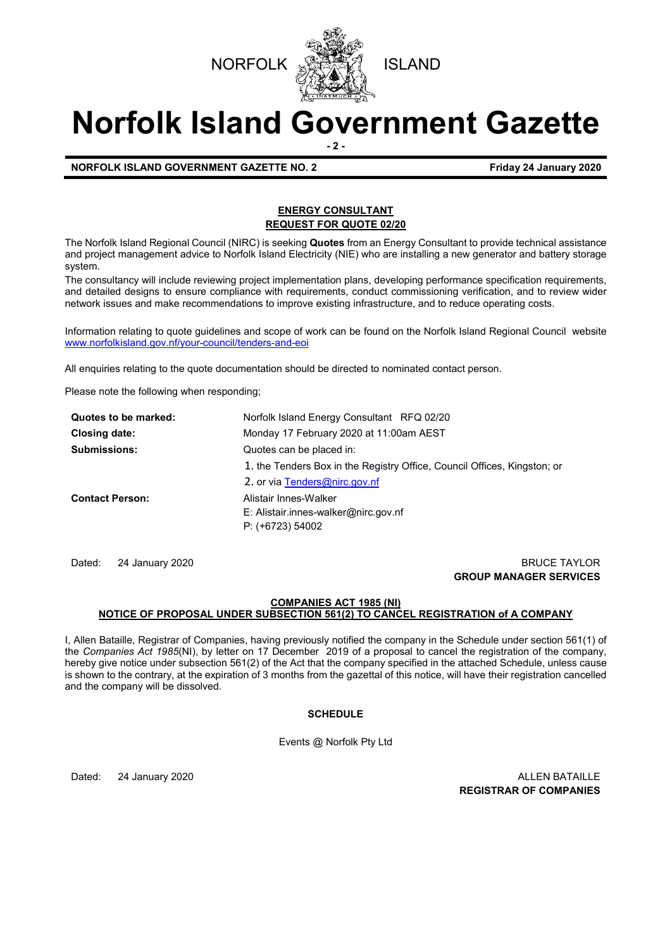

# **Norfolk Island Government Gazette - 2 -**

**NORFOLK ISLAND GOVERNMENT GAZETTE NO. 2 Friday 24 January 2020**

# **ENERGY CONSULTANT REQUEST FOR QUOTE 02/20**

The Norfolk Island Regional Council (NIRC) is seeking **Quotes** from an Energy Consultant to provide technical assistance and project management advice to Norfolk Island Electricity (NIE) who are installing a new generator and battery storage system.

The consultancy will include reviewing project implementation plans, developing performance specification requirements, and detailed designs to ensure compliance with requirements, conduct commissioning verification, and to review wider network issues and make recommendations to improve existing infrastructure, and to reduce operating costs.

Information relating to quote guidelines and scope of work can be found on the Norfolk Island Regional Council website [www.norfolkisland.gov.nf/your-council/tenders-and-eoi](http://www.norfolkisland.gov.nf/your-council/tenders-and-eoi)

All enquiries relating to the quote documentation should be directed to nominated contact person.

Please note the following when responding;

| Quotes to be marked:   | Norfolk Island Energy Consultant RFQ 02/20                               |  |
|------------------------|--------------------------------------------------------------------------|--|
| Closing date:          | Monday 17 February 2020 at 11:00am AEST                                  |  |
| <b>Submissions:</b>    | Quotes can be placed in:                                                 |  |
|                        | 1. the Tenders Box in the Registry Office, Council Offices, Kingston; or |  |
|                        | 2. or via Tenders@nirc.gov.nf                                            |  |
| <b>Contact Person:</b> | Alistair Innes-Walker                                                    |  |
|                        | $E:$ Alistair.innes-walker@nirc.gov.nf                                   |  |
|                        | P: (+6723) 54002                                                         |  |

Dated: 24 January 2020 **BRUCE TAYLOR GROUP MANAGER SERVICES**

# **COMPANIES ACT 1985 (NI) NOTICE OF PROPOSAL UNDER SUBSECTION 561(2) TO CANCEL REGISTRATION of A COMPANY**

I, Allen Bataille, Registrar of Companies, having previously notified the company in the Schedule under section 561(1) of the *Companies Act 1985*(NI), by letter on 17 December 2019 of a proposal to cancel the registration of the company, hereby give notice under subsection 561(2) of the Act that the company specified in the attached Schedule, unless cause is shown to the contrary, at the expiration of 3 months from the gazettal of this notice, will have their registration cancelled and the company will be dissolved.

# **SCHEDULE**

Events @ Norfolk Pty Ltd

Dated: 24 January 2020 **ALLEN BATAILLE REGISTRAR OF COMPANIES**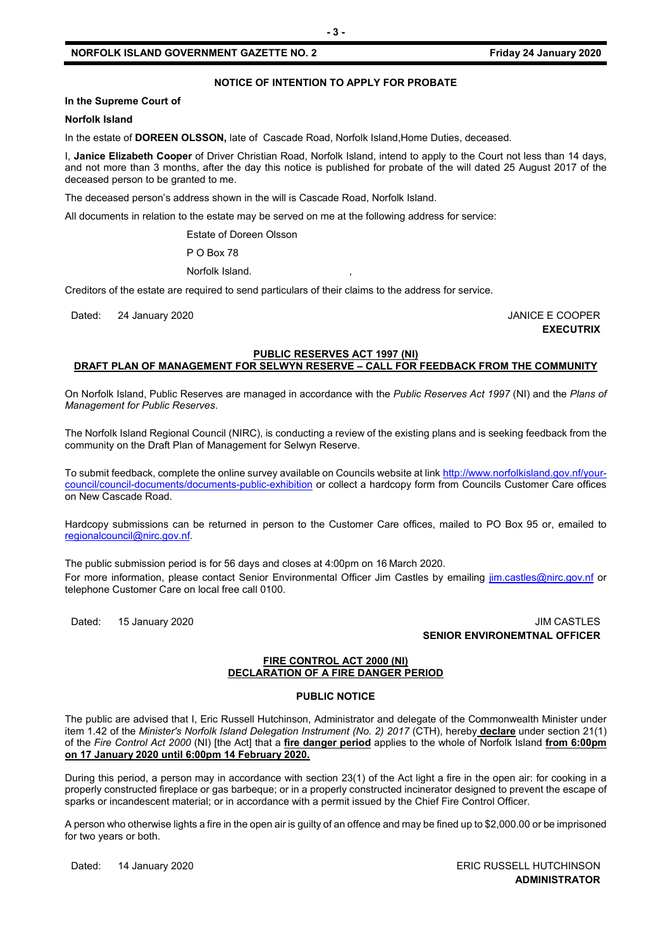# **NOTICE OF INTENTION TO APPLY FOR PROBATE**

#### **In the Supreme Court of**

#### **Norfolk Island**

In the estate of **DOREEN OLSSON,** late of Cascade Road, Norfolk Island,Home Duties, deceased.

I, **Janice Elizabeth Cooper** of Driver Christian Road, Norfolk Island, intend to apply to the Court not less than 14 days, and not more than 3 months, after the day this notice is published for probate of the will dated 25 August 2017 of the deceased person to be granted to me.

The deceased person's address shown in the will is Cascade Road, Norfolk Island.

All documents in relation to the estate may be served on me at the following address for service:

Estate of Doreen Olsson

P O Box 78

Norfolk Island.

Creditors of the estate are required to send particulars of their claims to the address for service.

Dated: 24 January 2020 **Dates:** 24 January 2020

**EXECUTRIX**

## **PUBLIC RESERVES ACT 1997 (NI) DRAFT PLAN OF MANAGEMENT FOR SELWYN RESERVE – CALL FOR FEEDBACK FROM THE COMMUNITY**

On Norfolk Island, Public Reserves are managed in accordance with the *Public Reserves Act 1997* (NI) and the *Plans of Management for Public Reserves*.

The Norfolk Island Regional Council (NIRC), is conducting a review of the existing plans and is seeking feedback from the community on the Draft Plan of Management for Selwyn Reserve.

To submit feedback, complete the online survey available on Councils website at link [http://www.norfolkisland.gov.nf/your](http://www.norfolkisland.gov.nf/your-council/council-documents/documents-public-exhibition)[council/council-documents/documents-public-exhibition](http://www.norfolkisland.gov.nf/your-council/council-documents/documents-public-exhibition) or collect a hardcopy form from Councils Customer Care offices on New Cascade Road.

Hardcopy submissions can be returned in person to the Customer Care offices, mailed to PO Box 95 or, emailed to [regionalcouncil@nirc.gov.nf.](mailto:regionalcouncil@nirc.gov.nf)

The public submission period is for 56 days and closes at 4:00pm on 16 March 2020. For more information, please contact Senior Environmental Officer Jim Castles by emailing *jim.castles@nirc.gov.nf* or telephone Customer Care on local free call 0100.

Dated: 15 January 2020 **JIM CASTLES SENIOR ENVIRONEMTNAL OFFICER**

#### **FIRE CONTROL ACT 2000 (NI) DECLARATION OF A FIRE DANGER PERIOD**

# **PUBLIC NOTICE**

The public are advised that I, Eric Russell Hutchinson, Administrator and delegate of the Commonwealth Minister under item 1.42 of the *Minister's Norfolk Island Delegation Instrument (No. 2) 2017* (CTH), hereby **declare** under section 21(1) of the *Fire Control Act 2000* (NI) [the Act] that a **fire danger period** applies to the whole of Norfolk Island **from 6:00pm on 17 January 2020 until 6:00pm 14 February 2020.**

During this period, a person may in accordance with section 23(1) of the Act light a fire in the open air: for cooking in a properly constructed fireplace or gas barbeque; or in a properly constructed incinerator designed to prevent the escape of sparks or incandescent material; or in accordance with a permit issued by the Chief Fire Control Officer.

A person who otherwise lights a fire in the open air is guilty of an offence and may be fined up to \$2,000.00 or be imprisoned for two years or both.

Dated: 14 January 2020 **ERIC RUSSELL HUTCHINSON ADMINISTRATOR**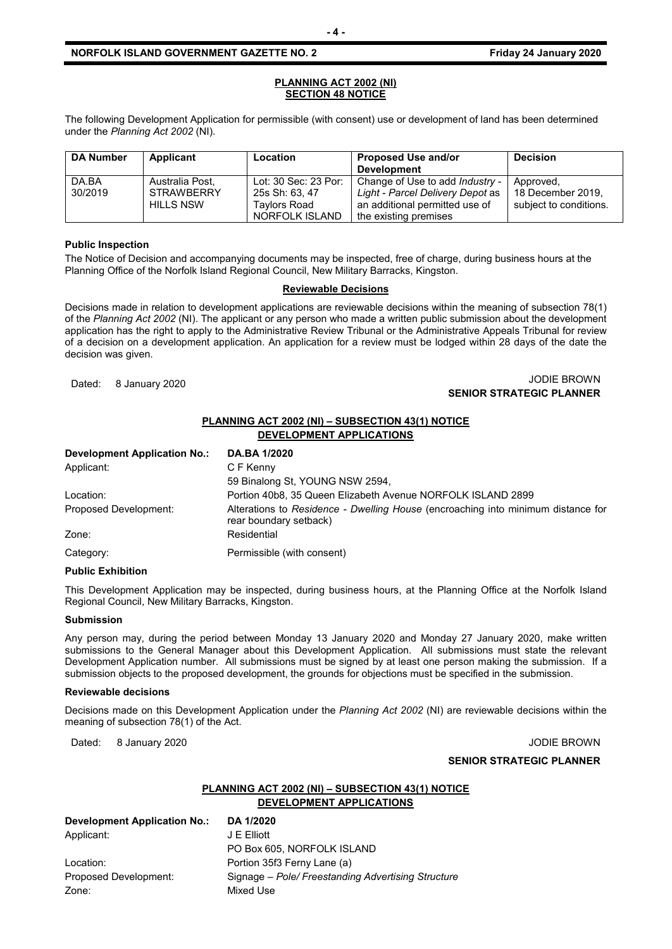#### **PLANNING ACT 2002 (NI) SECTION 48 NOTICE**

The following Development Application for permissible (with consent) use or development of land has been determined under the *Planning Act 2002* (NI).

| <b>DA Number</b> | Applicant                                         | <b>Location</b>                                                          | <b>Proposed Use and/or</b><br><b>Development</b>                                                                               | <b>Decision</b>                                          |
|------------------|---------------------------------------------------|--------------------------------------------------------------------------|--------------------------------------------------------------------------------------------------------------------------------|----------------------------------------------------------|
| DA.BA<br>30/2019 | Australia Post,<br><b>STRAWBERRY</b><br>HILLS NSW | Lot: 30 Sec: 23 Por:<br>25s Sh: 63, 47<br>Tavlors Road<br>NORFOLK ISLAND | Change of Use to add Industry -<br>Light - Parcel Delivery Depot as<br>an additional permitted use of<br>the existing premises | Approved,<br>18 December 2019.<br>subject to conditions. |

#### **Public Inspection**

The Notice of Decision and accompanying documents may be inspected, free of charge, during business hours at the Planning Office of the Norfolk Island Regional Council, New Military Barracks, Kingston.

# **Reviewable Decisions**

Decisions made in relation to development applications are reviewable decisions within the meaning of subsection 78(1) of the *Planning Act 2002* (NI). The applicant or any person who made a written public submission about the development application has the right to apply to the Administrative Review Tribunal or the Administrative Appeals Tribunal for review of a decision on a development application. An application for a review must be lodged within 28 days of the date the decision was given.

## Dated: 8 January 2020 JODIE BROWN **SENIOR STRATEGIC PLANNER**

# **PLANNING ACT 2002 (NI) – SUBSECTION 43(1) NOTICE DEVELOPMENT APPLICATIONS**

| <b>Development Application No.:</b> | <b>DA.BA 1/2020</b>                                                                                        |
|-------------------------------------|------------------------------------------------------------------------------------------------------------|
| Applicant:                          | C F Kenny                                                                                                  |
|                                     | 59 Binalong St, YOUNG NSW 2594,                                                                            |
| Location:                           | Portion 40b8, 35 Queen Elizabeth Avenue NORFOLK ISLAND 2899                                                |
| Proposed Development:               | Alterations to Residence - Dwelling House (encroaching into minimum distance for<br>rear boundary setback) |
| Zone:                               | Residential                                                                                                |
| Category:                           | Permissible (with consent)                                                                                 |

#### **Public Exhibition**

This Development Application may be inspected, during business hours, at the Planning Office at the Norfolk Island Regional Council, New Military Barracks, Kingston.

#### **Submission**

Any person may, during the period between Monday 13 January 2020 and Monday 27 January 2020, make written submissions to the General Manager about this Development Application. All submissions must state the relevant Development Application number. All submissions must be signed by at least one person making the submission. If a submission objects to the proposed development, the grounds for objections must be specified in the submission.

#### **Reviewable decisions**

Decisions made on this Development Application under the *Planning Act 2002* (NI) are reviewable decisions within the meaning of subsection 78(1) of the Act.

Dated: 8 January 2020 **Julie 2010 Journal Accounts 2020 JODIE BROWN** 

# **SENIOR STRATEGIC PLANNER**

# **PLANNING ACT 2002 (NI) – SUBSECTION 43(1) NOTICE DEVELOPMENT APPLICATIONS**

| <b>Development Application No.:</b> | DA 1/2020                                          |
|-------------------------------------|----------------------------------------------------|
| Applicant:                          | J E Elliott                                        |
|                                     | PO Box 605, NORFOLK ISLAND                         |
| Location:                           | Portion 35f3 Ferny Lane (a)                        |
| Proposed Development:               | Signage – Pole/ Freestanding Advertising Structure |
| Zone:                               | Mixed Use                                          |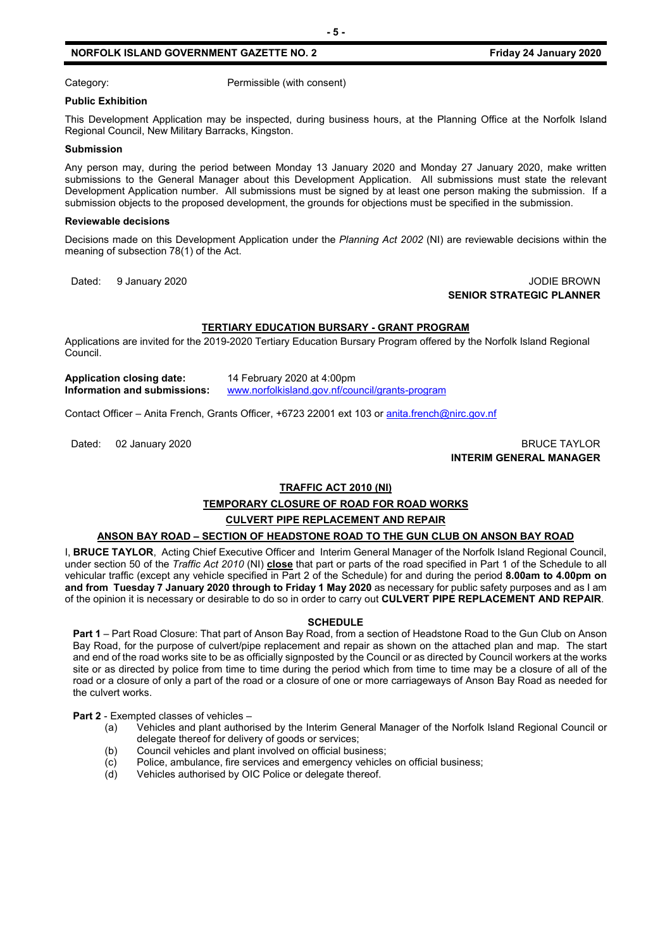Category: Category: Permissible (with consent)

#### **Public Exhibition**

This Development Application may be inspected, during business hours, at the Planning Office at the Norfolk Island Regional Council, New Military Barracks, Kingston.

#### **Submission**

Any person may, during the period between Monday 13 January 2020 and Monday 27 January 2020, make written submissions to the General Manager about this Development Application. All submissions must state the relevant Development Application number. All submissions must be signed by at least one person making the submission. If a submission objects to the proposed development, the grounds for objections must be specified in the submission.

#### **Reviewable decisions**

Decisions made on this Development Application under the *Planning Act 2002* (NI) are reviewable decisions within the meaning of subsection 78(1) of the Act.

Dated: 9 January 2020 **Julie 2010 Journal Accounts 2020 JODIE BROWN SENIOR STRATEGIC PLANNER**

# **TERTIARY EDUCATION BURSARY - GRANT PROGRAM**

Applications are invited for the 2019-2020 Tertiary Education Bursary Program offered by the Norfolk Island Regional Council.

**Application closing date:** 14 February 2020 at 4:00pm **Information and submissions:** [www.norfolkisland.gov.nf/council/grants-program](http://www.norfolkisland.gov.nf/council/grants-program)

Contact Officer – Anita French, Grants Officer, +6723 22001 ext 103 o[r anita.french@nirc.gov.nf](mailto:anita.french@nirc.gov.nf)

Dated: 02 January 2020 BRUCE TAYLOR **INTERIM GENERAL MANAGER**

# **TRAFFIC ACT 2010 (NI)**

# **TEMPORARY CLOSURE OF ROAD FOR ROAD WORKS**

# **CULVERT PIPE REPLACEMENT AND REPAIR**

# **ANSON BAY ROAD – SECTION OF HEADSTONE ROAD TO THE GUN CLUB ON ANSON BAY ROAD**

I, **BRUCE TAYLOR**, Acting Chief Executive Officer and Interim General Manager of the Norfolk Island Regional Council, under section 50 of the *Traffic Act 2010* (NI) **close** that part or parts of the road specified in Part 1 of the Schedule to all vehicular traffic (except any vehicle specified in Part 2 of the Schedule) for and during the period **8.00am to 4.00pm on and from Tuesday 7 January 2020 through to Friday 1 May 2020** as necessary for public safety purposes and as I am of the opinion it is necessary or desirable to do so in order to carry out **CULVERT PIPE REPLACEMENT AND REPAIR**.

# **SCHEDULE**

**Part 1** – Part Road Closure: That part of Anson Bay Road, from a section of Headstone Road to the Gun Club on Anson Bay Road, for the purpose of culvert/pipe replacement and repair as shown on the attached plan and map. The start and end of the road works site to be as officially signposted by the Council or as directed by Council workers at the works site or as directed by police from time to time during the period which from time to time may be a closure of all of the road or a closure of only a part of the road or a closure of one or more carriageways of Anson Bay Road as needed for the culvert works.

**Part 2** - Exempted classes of vehicles –

- (a) Vehicles and plant authorised by the Interim General Manager of the Norfolk Island Regional Council or delegate thereof for delivery of goods or services;
- (b) Council vehicles and plant involved on official business;
- (c) Police, ambulance, fire services and emergency vehicles on official business;<br>(d) Vehicles authorised by OIC Police or delegate thereof.
- Vehicles authorised by OIC Police or delegate thereof.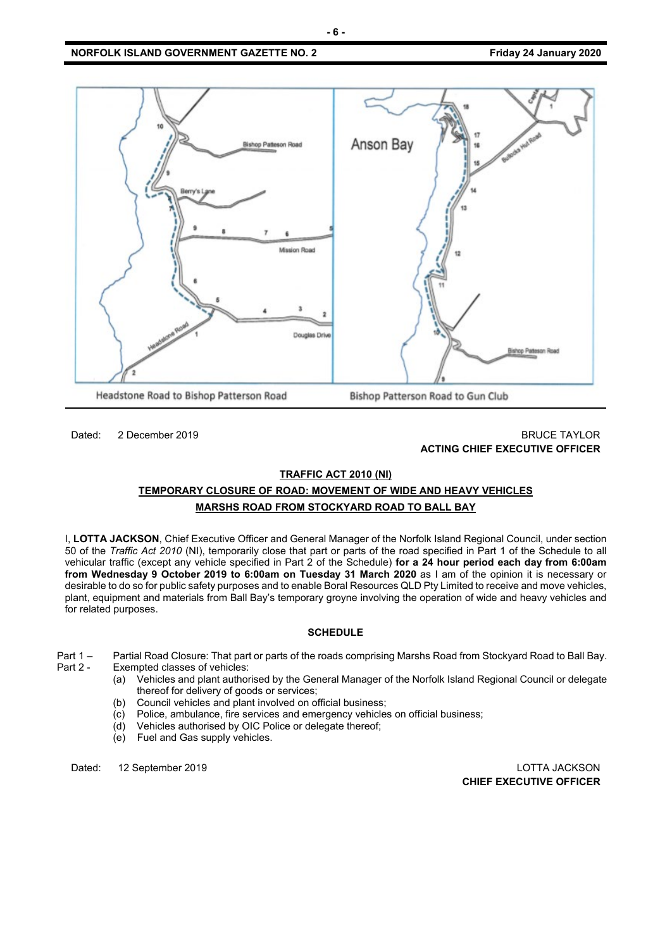

# Dated: 2 December 2019 BRUCE TAYLOR **ACTING CHIEF EXECUTIVE OFFICER**

#### **TRAFFIC ACT 2010 (NI)**

# **TEMPORARY CLOSURE OF ROAD: MOVEMENT OF WIDE AND HEAVY VEHICLES MARSHS ROAD FROM STOCKYARD ROAD TO BALL BAY**

I, **LOTTA JACKSON**, Chief Executive Officer and General Manager of the Norfolk Island Regional Council, under section 50 of the *Traffic Act 2010* (NI), temporarily close that part or parts of the road specified in Part 1 of the Schedule to all vehicular traffic (except any vehicle specified in Part 2 of the Schedule) **for a 24 hour period each day from 6:00am from Wednesday 9 October 2019 to 6:00am on Tuesday 31 March 2020** as I am of the opinion it is necessary or desirable to do so for public safety purposes and to enable Boral Resources QLD Pty Limited to receive and move vehicles, plant, equipment and materials from Ball Bay's temporary groyne involving the operation of wide and heavy vehicles and for related purposes.

# **SCHEDULE**

Part 1 – Partial Road Closure: That part or parts of the roads comprising Marshs Road from Stockyard Road to Ball Bay.<br>Part 2 - Exempted classes of vehicles: Exempted classes of vehicles:

- (a) Vehicles and plant authorised by the General Manager of the Norfolk Island Regional Council or delegate thereof for delivery of goods or services;
- (b) Council vehicles and plant involved on official business;
- (c) Police, ambulance, fire services and emergency vehicles on official business;
- (d) Vehicles authorised by OIC Police or delegate thereof;
- (e) Fuel and Gas supply vehicles.

Dated: 12 September 2019 LOTTA JACKSON **CHIEF EXECUTIVE OFFICER**